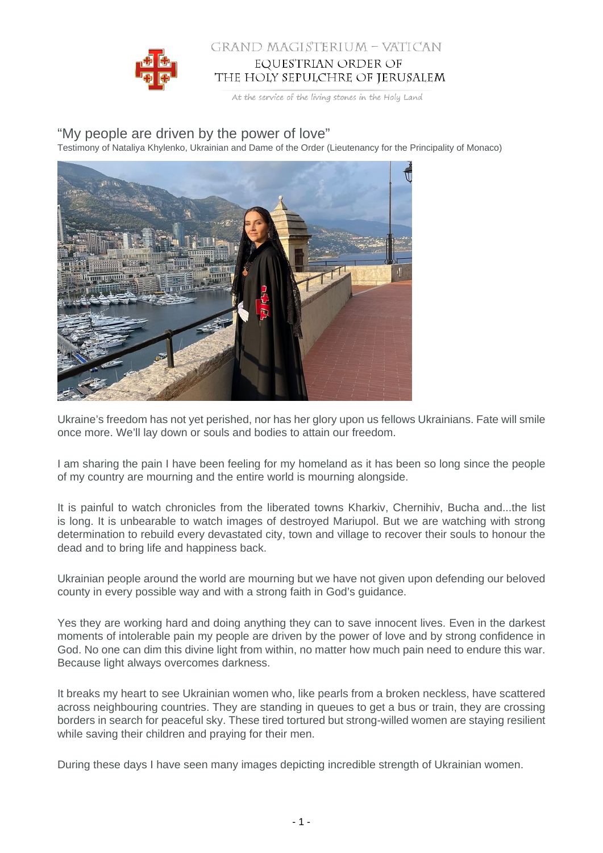

## GRAND MAGISTERIUM - VATICAN EQUESTRIAN ORDER OF THE HOLY SEPULCHRE OF JERUSALEM

At the service of the living stones in the Holy Land

## "My people are driven by the power of love"

Testimony of Nataliya Khylenko, Ukrainian and Dame of the Order (Lieutenancy for the Principality of Monaco)



Ukraine's freedom has not yet perished, nor has her glory upon us fellows Ukrainians. Fate will smile once more. We'll lay down or souls and bodies to attain our freedom.

I am sharing the pain I have been feeling for my homeland as it has been so long since the people of my country are mourning and the entire world is mourning alongside.

It is painful to watch chronicles from the liberated towns Kharkiv, Chernihiv, Bucha and...the list is long. It is unbearable to watch images of destroyed Mariupol. But we are watching with strong determination to rebuild every devastated city, town and village to recover their souls to honour the dead and to bring life and happiness back.

Ukrainian people around the world are mourning but we have not given upon defending our beloved county in every possible way and with a strong faith in God's guidance.

Yes they are working hard and doing anything they can to save innocent lives. Even in the darkest moments of intolerable pain my people are driven by the power of love and by strong confidence in God. No one can dim this divine light from within, no matter how much pain need to endure this war. Because light always overcomes darkness.

It breaks my heart to see Ukrainian women who, like pearls from a broken neckless, have scattered across neighbouring countries. They are standing in queues to get a bus or train, they are crossing borders in search for peaceful sky. These tired tortured but strong-willed women are staying resilient while saving their children and praying for their men.

During these days I have seen many images depicting incredible strength of Ukrainian women.